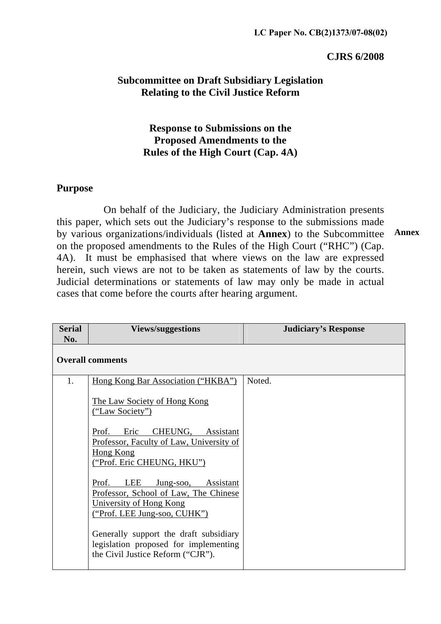### **CJRS 6/2008**

## **Subcommittee on Draft Subsidiary Legislation Relating to the Civil Justice Reform**

## **Response to Submissions on the Proposed Amendments to the Rules of the High Court (Cap. 4A)**

### **Purpose**

 On behalf of the Judiciary, the Judiciary Administration presents this paper, which sets out the Judiciary's response to the submissions made by various organizations/individuals (listed at **Annex**) to the Subcommittee on the proposed amendments to the Rules of the High Court ("RHC") (Cap. 4A). It must be emphasised that where views on the law are expressed herein, such views are not to be taken as statements of law by the courts. Judicial determinations or statements of law may only be made in actual cases that come before the courts after hearing argument. **Annex** 

| <b>Serial</b><br>No. | <b>Views/suggestions</b>                                                                                                                | <b>Judiciary's Response</b> |
|----------------------|-----------------------------------------------------------------------------------------------------------------------------------------|-----------------------------|
|                      | <b>Overall comments</b>                                                                                                                 |                             |
| 1.                   | Hong Kong Bar Association ("HKBA")<br>The Law Society of Hong Kong<br><u>("Law Society")</u>                                            | Noted.                      |
|                      | CHEUNG,<br>Eric<br>Prof.<br>Assistant<br>Professor, Faculty of Law, University of<br><b>Hong Kong</b><br>("Prof. Eric CHEUNG, HKU")     |                             |
|                      | LEE<br>Prof.<br>Jung-soo, Assistant<br>Professor, School of Law, The Chinese<br>University of Hong Kong<br>("Prof. LEE Jung-soo, CUHK") |                             |
|                      | Generally support the draft subsidiary<br>legislation proposed for implementing<br>the Civil Justice Reform ("CJR").                    |                             |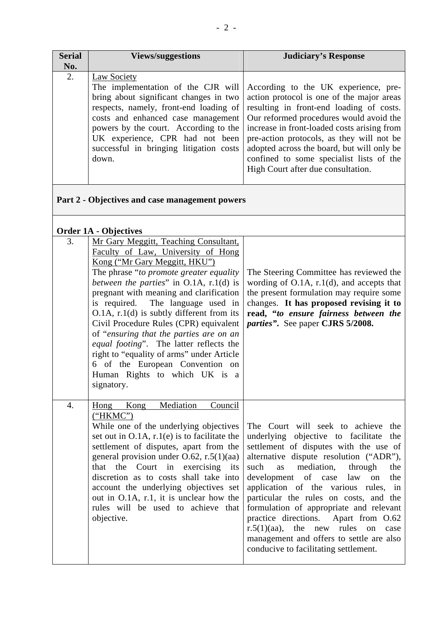| <b>Serial</b> | <b>Views/suggestions</b>                | <b>Judiciary's Response</b>                                                              |
|---------------|-----------------------------------------|------------------------------------------------------------------------------------------|
| No.           |                                         |                                                                                          |
| 2.            | Law Society                             |                                                                                          |
|               |                                         | The implementation of the CJR will According to the UK experience, pre-                  |
|               |                                         | bring about significant changes in two $\vert$ action protocol is one of the major areas |
|               |                                         | respects, namely, front-end loading of resulting in front-end loading of costs.          |
|               |                                         | costs and enhanced case management   Our reformed procedures would avoid the             |
|               |                                         | powers by the court. According to the increase in front-loaded costs arising from        |
|               | UK experience, CPR had not been         | pre-action protocols, as they will not be                                                |
|               | successful in bringing litigation costs | adopted across the board, but will only be                                               |
|               | down.                                   | confined to some specialist lists of the                                                 |
|               |                                         | High Court after due consultation.                                                       |
|               |                                         |                                                                                          |

## **Part 2 - Objectives and case management powers**

### **Order 1A - Objectives**

| JIULI 111 | <b>ODICCHTCO</b>                                                                                                                                                                                                                                                                                                                                                                                                                                                                                                                                                                                      |                                                                                                                                                                                                                                                                                                                                                                                                                                                                                                                                                                          |
|-----------|-------------------------------------------------------------------------------------------------------------------------------------------------------------------------------------------------------------------------------------------------------------------------------------------------------------------------------------------------------------------------------------------------------------------------------------------------------------------------------------------------------------------------------------------------------------------------------------------------------|--------------------------------------------------------------------------------------------------------------------------------------------------------------------------------------------------------------------------------------------------------------------------------------------------------------------------------------------------------------------------------------------------------------------------------------------------------------------------------------------------------------------------------------------------------------------------|
| 3.        | Mr Gary Meggitt, Teaching Consultant,<br>Faculty of Law, University of Hong<br>Kong ("Mr Gary Meggitt, HKU")<br>The phrase "to promote greater equality"<br>between the parties" in $O.1A$ , r.1(d) is<br>pregnant with meaning and clarification<br>is required. The language used in<br>$O.1A$ , r.1(d) is subtly different from its<br>Civil Procedure Rules (CPR) equivalent<br>of "ensuring that the parties are on an<br>equal footing". The latter reflects the<br>right to "equality of arms" under Article<br>6 of the European Convention on<br>Human Rights to which UK is a<br>signatory. | The Steering Committee has reviewed the<br>wording of $O.1A$ , $r.1(d)$ , and accepts that<br>the present formulation may require some<br>changes. It has proposed revising it to<br>read, "to ensure fairness between the<br>parties". See paper CJRS 5/2008.                                                                                                                                                                                                                                                                                                           |
| 4.        | Mediation<br>Hong<br>Kong<br>Council<br>("HKMC")<br>While one of the underlying objectives<br>set out in $O.1A$ , $r.1(e)$ is to facilitate the<br>settlement of disputes, apart from the<br>general provision under $O.62$ , r.5(1)(aa)<br>that the Court in exercising its<br>discretion as to costs shall take into<br>account the underlying objectives set<br>out in O.1A, r.1, it is unclear how the<br>rules will be used to achieve that<br>objective.                                                                                                                                        | The Court will seek to achieve<br>the<br>underlying objective to facilitate<br>the<br>settlement of disputes with the use of<br>alternative dispute resolution ("ADR"),<br>mediation, through<br>such<br>as<br>the<br>development of case<br>the<br>law<br>on<br>application of the various rules, in<br>particular the rules on costs, and the<br>formulation of appropriate and relevant<br>practice directions.<br>Apart from O.62<br>$r.5(1)(aa)$ , the new rules<br>on<br>case<br>management and offers to settle are also<br>conducive to facilitating settlement. |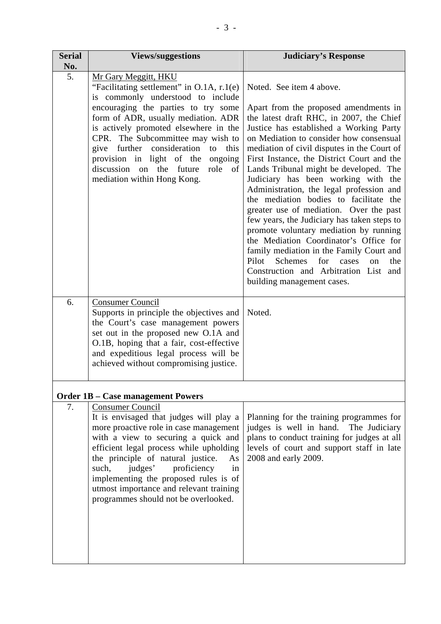| <b>Serial</b><br>No. | <b>Views/suggestions</b>                                                                                                                                                                                                                                                                                                                                                                                                     | <b>Judiciary's Response</b>                                                                                                                                                                                                                                                                                                                                                                                                                                                                                                                                                                                                                                                                                                                                                                                                     |
|----------------------|------------------------------------------------------------------------------------------------------------------------------------------------------------------------------------------------------------------------------------------------------------------------------------------------------------------------------------------------------------------------------------------------------------------------------|---------------------------------------------------------------------------------------------------------------------------------------------------------------------------------------------------------------------------------------------------------------------------------------------------------------------------------------------------------------------------------------------------------------------------------------------------------------------------------------------------------------------------------------------------------------------------------------------------------------------------------------------------------------------------------------------------------------------------------------------------------------------------------------------------------------------------------|
| 5.                   | Mr Gary Meggitt, HKU<br>"Facilitating settlement" in O.1A, r.1(e)<br>is commonly understood to include<br>encouraging the parties to try some<br>form of ADR, usually mediation. ADR<br>is actively promoted elsewhere in the<br>CPR. The Subcommittee may wish to<br>give further<br>consideration<br>to<br>this<br>provision in light of the ongoing<br>discussion on the future<br>role of<br>mediation within Hong Kong. | Noted. See item 4 above.<br>Apart from the proposed amendments in<br>the latest draft RHC, in 2007, the Chief<br>Justice has established a Working Party<br>on Mediation to consider how consensual<br>mediation of civil disputes in the Court of<br>First Instance, the District Court and the<br>Lands Tribunal might be developed. The<br>Judiciary has been working with the<br>Administration, the legal profession and<br>the mediation bodies to facilitate the<br>greater use of mediation. Over the past<br>few years, the Judiciary has taken steps to<br>promote voluntary mediation by running<br>the Mediation Coordinator's Office for<br>family mediation in the Family Court and<br>Pilot<br>Schemes<br>for<br>the<br>cases<br>$\alpha$<br>Construction and Arbitration List and<br>building management cases. |
| 6.                   | <b>Consumer Council</b><br>Supports in principle the objectives and<br>the Court's case management powers<br>set out in the proposed new O.1A and<br>O.1B, hoping that a fair, cost-effective<br>and expeditious legal process will be<br>achieved without compromising justice.                                                                                                                                             | Noted.                                                                                                                                                                                                                                                                                                                                                                                                                                                                                                                                                                                                                                                                                                                                                                                                                          |
|                      | <b>Order 1B - Case management Powers</b>                                                                                                                                                                                                                                                                                                                                                                                     |                                                                                                                                                                                                                                                                                                                                                                                                                                                                                                                                                                                                                                                                                                                                                                                                                                 |
| 7.                   | <b>Consumer Council</b><br>It is envisaged that judges will play a<br>more proactive role in case management<br>with a view to securing a quick and<br>efficient legal process while upholding<br>the principle of natural justice.<br>As<br>judges'<br>such,<br>proficiency<br>in<br>implementing the proposed rules is of<br>utmost importance and relevant training<br>programmes should not be overlooked.               | Planning for the training programmes for<br>judges is well in hand. The Judiciary<br>plans to conduct training for judges at all<br>levels of court and support staff in late<br>2008 and early 2009.                                                                                                                                                                                                                                                                                                                                                                                                                                                                                                                                                                                                                           |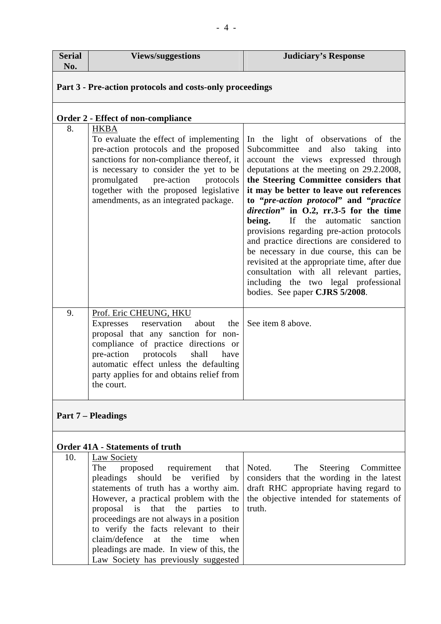| <b>Serial</b><br>No.      | <b>Views/suggestions</b>                                                                                                                                                                                                                                                                                                                                                                                                                       | <b>Judiciary's Response</b>                                                                                                                                                                                                                                                                                                                                                                                                                                                                                                                                                                                                                                                                    |
|---------------------------|------------------------------------------------------------------------------------------------------------------------------------------------------------------------------------------------------------------------------------------------------------------------------------------------------------------------------------------------------------------------------------------------------------------------------------------------|------------------------------------------------------------------------------------------------------------------------------------------------------------------------------------------------------------------------------------------------------------------------------------------------------------------------------------------------------------------------------------------------------------------------------------------------------------------------------------------------------------------------------------------------------------------------------------------------------------------------------------------------------------------------------------------------|
|                           | Part 3 - Pre-action protocols and costs-only proceedings                                                                                                                                                                                                                                                                                                                                                                                       |                                                                                                                                                                                                                                                                                                                                                                                                                                                                                                                                                                                                                                                                                                |
|                           | <b>Order 2 - Effect of non-compliance</b>                                                                                                                                                                                                                                                                                                                                                                                                      |                                                                                                                                                                                                                                                                                                                                                                                                                                                                                                                                                                                                                                                                                                |
| 8.                        | <b>HKBA</b><br>To evaluate the effect of implementing<br>pre-action protocols and the proposed<br>sanctions for non-compliance thereof, it<br>is necessary to consider the yet to be<br>promulgated pre-action<br>protocols<br>together with the proposed legislative<br>amendments, as an integrated package.                                                                                                                                 | In the light of observations of the<br>Subcommittee and<br>also taking<br>into<br>account the views expressed through<br>deputations at the meeting on 29.2.2008,<br>the Steering Committee considers that<br>it may be better to leave out references<br>to "pre-action protocol" and "practice<br>direction" in O.2, rr.3-5 for the time<br>being.<br>If the automatic<br>sanction<br>provisions regarding pre-action protocols<br>and practice directions are considered to<br>be necessary in due course, this can be<br>revisited at the appropriate time, after due<br>consultation with all relevant parties,<br>including the two legal professional<br>bodies. See paper CJRS 5/2008. |
| 9.                        | Prof. Eric CHEUNG, HKU<br>Expresses reservation about<br>the<br>proposal that any sanction for non-<br>compliance of practice directions or<br>pre-action protocols<br>shall<br>have<br>automatic effect unless the defaulting<br>party applies for and obtains relief from<br>the court.                                                                                                                                                      | See item 8 above.                                                                                                                                                                                                                                                                                                                                                                                                                                                                                                                                                                                                                                                                              |
| <b>Part 7 – Pleadings</b> |                                                                                                                                                                                                                                                                                                                                                                                                                                                |                                                                                                                                                                                                                                                                                                                                                                                                                                                                                                                                                                                                                                                                                                |
|                           | <b>Order 41A - Statements of truth</b>                                                                                                                                                                                                                                                                                                                                                                                                         |                                                                                                                                                                                                                                                                                                                                                                                                                                                                                                                                                                                                                                                                                                |
| 10.                       | <b>Law Society</b><br>The<br>proposed requirement<br>that<br>pleadings should be verified<br>by<br>statements of truth has a worthy aim.<br>However, a practical problem with the<br>proposal is that the parties<br>to<br>proceedings are not always in a position<br>to verify the facts relevant to their<br>claim/defence<br>time<br>at<br>the<br>when<br>pleadings are made. In view of this, the<br>Law Society has previously suggested | The<br>Noted.<br>Steering<br>Committee<br>considers that the wording in the latest<br>draft RHC appropriate having regard to<br>the objective intended for statements of<br>truth.                                                                                                                                                                                                                                                                                                                                                                                                                                                                                                             |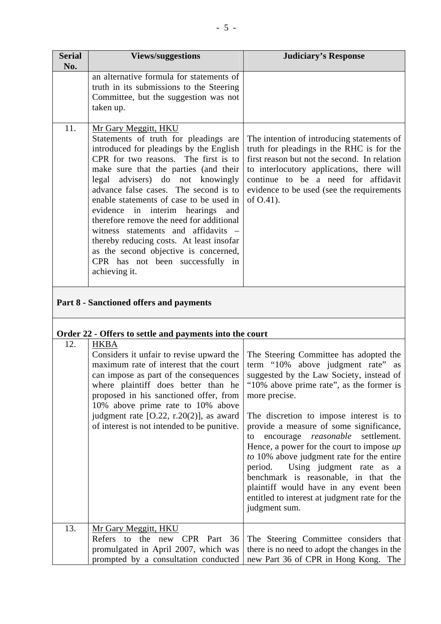| <b>Serial</b> | <b>Views/suggestions</b>                                                                                                                                                                                                                                                                                                                                                                                                                                                                                                                                                           | <b>Judiciary's Response</b>                                                                                                                                                                                                                                                           |
|---------------|------------------------------------------------------------------------------------------------------------------------------------------------------------------------------------------------------------------------------------------------------------------------------------------------------------------------------------------------------------------------------------------------------------------------------------------------------------------------------------------------------------------------------------------------------------------------------------|---------------------------------------------------------------------------------------------------------------------------------------------------------------------------------------------------------------------------------------------------------------------------------------|
| No.           |                                                                                                                                                                                                                                                                                                                                                                                                                                                                                                                                                                                    |                                                                                                                                                                                                                                                                                       |
|               | an alternative formula for statements of<br>truth in its submissions to the Steering<br>Committee, but the suggestion was not<br>taken up.                                                                                                                                                                                                                                                                                                                                                                                                                                         |                                                                                                                                                                                                                                                                                       |
| 11.           | Mr Gary Meggitt, HKU<br>Statements of truth for pleadings are<br>introduced for pleadings by the English<br>CPR for two reasons. The first is to<br>make sure that the parties (and their<br>legal advisers) do not knowingly<br>advance false cases. The second is to<br>enable statements of case to be used in<br>evidence in interim hearings and<br>therefore remove the need for additional<br>witness statements and affidavits –<br>thereby reducing costs. At least insofar<br>as the second objective is concerned,<br>CPR has not been successfully in<br>achieving it. | The intention of introducing statements of<br>truth for pleadings in the RHC is for the<br>first reason but not the second. In relation<br>to interlocutory applications, there will<br>continue to be a need for affidavit<br>evidence to be used (see the requirements<br>of O.41). |

## **Part 8 - Sanctioned offers and payments**

#### **Order 22 - Offers to settle and payments into the court**

| 12. | <b>HKBA</b><br>Considers it unfair to revise upward the<br>maximum rate of interest that the court<br>can impose as part of the consequences<br>where plaintiff does better than he<br>proposed in his sanctioned offer, from<br>10% above prime rate to 10% above<br>judgment rate $[O.22, r.20(2)]$ , as award<br>of interest is not intended to be punitive. | The Steering Committee has adopted the<br>term "10% above judgment rate" as<br>suggested by the Law Society, instead of<br>"10% above prime rate", as the former is<br>more precise.<br>The discretion to impose interest is to<br>provide a measure of some significance,<br>encourage reasonable settlement.<br>to<br>Hence, a power for the court to impose up<br>to 10% above judgment rate for the entire<br>period. Using judgment rate as a<br>benchmark is reasonable, in that the<br>plaintiff would have in any event been<br>entitled to interest at judgment rate for the<br>judgment sum. |
|-----|-----------------------------------------------------------------------------------------------------------------------------------------------------------------------------------------------------------------------------------------------------------------------------------------------------------------------------------------------------------------|--------------------------------------------------------------------------------------------------------------------------------------------------------------------------------------------------------------------------------------------------------------------------------------------------------------------------------------------------------------------------------------------------------------------------------------------------------------------------------------------------------------------------------------------------------------------------------------------------------|
| 13. | Mr Gary Meggitt, HKU                                                                                                                                                                                                                                                                                                                                            |                                                                                                                                                                                                                                                                                                                                                                                                                                                                                                                                                                                                        |
|     | Refers to the new CPR Part 36                                                                                                                                                                                                                                                                                                                                   | The Steering Committee considers that                                                                                                                                                                                                                                                                                                                                                                                                                                                                                                                                                                  |
|     | promulgated in April 2007, which was                                                                                                                                                                                                                                                                                                                            | there is no need to adopt the changes in the                                                                                                                                                                                                                                                                                                                                                                                                                                                                                                                                                           |
|     | prompted by a consultation conducted                                                                                                                                                                                                                                                                                                                            | new Part 36 of CPR in Hong Kong. The                                                                                                                                                                                                                                                                                                                                                                                                                                                                                                                                                                   |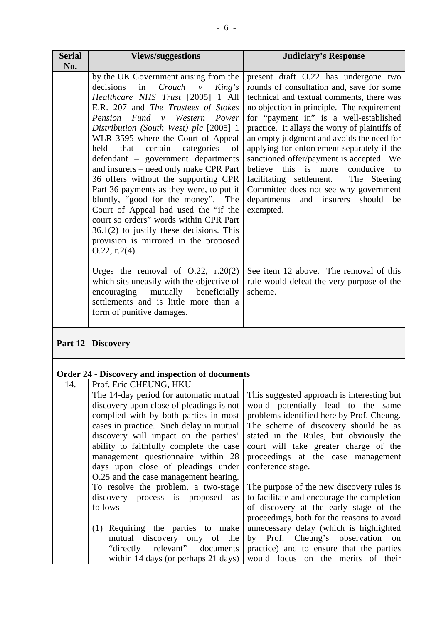| <b>Serial</b><br>No. | <b>Views/suggestions</b>                                                                                                                                                                                                                                                                                                                                                                                                                                                                                                                                                                                               | <b>Judiciary's Response</b>                                                                                                                                                                                                                                                                                                                                                                                                                                                                                                                                                                                 |
|----------------------|------------------------------------------------------------------------------------------------------------------------------------------------------------------------------------------------------------------------------------------------------------------------------------------------------------------------------------------------------------------------------------------------------------------------------------------------------------------------------------------------------------------------------------------------------------------------------------------------------------------------|-------------------------------------------------------------------------------------------------------------------------------------------------------------------------------------------------------------------------------------------------------------------------------------------------------------------------------------------------------------------------------------------------------------------------------------------------------------------------------------------------------------------------------------------------------------------------------------------------------------|
|                      | by the UK Government arising from the<br>$Crouch$ $v$<br>decisions<br>in<br>King's<br>Healthcare NHS Trust [2005] 1 All<br>E.R. 207 and The Trustees of Stokes<br>Pension Fund v Western Power<br>Distribution (South West) plc [2005] 1<br>WLR 3595 where the Court of Appeal<br>categories<br>held that<br>certain<br>of<br>defendant – government departments<br>and insurers – need only make CPR Part<br>36 offers without the supporting CPR<br>Part 36 payments as they were, to put it<br>bluntly, "good for the money". The<br>Court of Appeal had used the "if the<br>court so orders" words within CPR Part | present draft O.22 has undergone two<br>rounds of consultation and, save for some<br>technical and textual comments, there was<br>no objection in principle. The requirement<br>for "payment in" is a well-established<br>practice. It allays the worry of plaintiffs of<br>an empty judgment and avoids the need for<br>applying for enforcement separately if the<br>sanctioned offer/payment is accepted. We<br>this is more<br>believe<br>conducive<br>to<br>The Steering<br>facilitating settlement.<br>Committee does not see why government<br>departments and insurers<br>should<br>be<br>exempted. |
|                      | $36.1(2)$ to justify these decisions. This<br>provision is mirrored in the proposed<br>$0.22$ , r.2(4).<br>Urges the removal of $O.22$ , r.20(2)<br>which sits uneasily with the objective of<br>encouraging mutually beneficially<br>settlements and is little more than a<br>form of punitive damages.                                                                                                                                                                                                                                                                                                               | See item 12 above. The removal of this<br>rule would defeat the very purpose of the<br>scheme.                                                                                                                                                                                                                                                                                                                                                                                                                                                                                                              |

## **Part 12 –Discovery**

# **Order 24 - Discovery and inspection of documents**

| 14. | Prof. Eric CHEUNG, HKU                   |                                            |
|-----|------------------------------------------|--------------------------------------------|
|     | The 14-day period for automatic mutual   | This suggested approach is interesting but |
|     | discovery upon close of pleadings is not | would potentially lead to the same         |
|     | complied with by both parties in most    | problems identified here by Prof. Cheung.  |
|     | cases in practice. Such delay in mutual  | The scheme of discovery should be as       |
|     | discovery will impact on the parties'    | stated in the Rules, but obviously the     |
|     | ability to faithfully complete the case  | court will take greater charge of the      |
|     | management questionnaire within 28       | proceedings at the case management         |
|     | days upon close of pleadings under       | conference stage.                          |
|     | O.25 and the case management hearing.    |                                            |
|     | To resolve the problem, a two-stage      | The purpose of the new discovery rules is  |
|     | discovery process is proposed as         | to facilitate and encourage the completion |
|     | follows -                                | of discovery at the early stage of the     |
|     |                                          | proceedings, both for the reasons to avoid |
|     | (1) Requiring the parties to make        | unnecessary delay (which is highlighted    |
|     | mutual discovery only of the             | by Prof. Cheung's observation<br>on        |
|     | relevant" documents<br>"directly         | practice) and to ensure that the parties   |
|     | within 14 days (or perhaps 21 days)      | would focus on the merits of their         |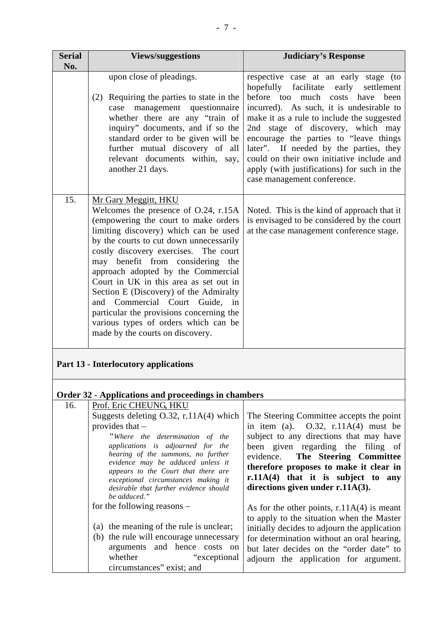| <b>Serial</b><br>No. | <b>Views/suggestions</b>                                                                                                                                                                                                                                                                                                                                                                                                                                                                                                                                                                      | <b>Judiciary's Response</b>                                                                                                                                                                                                                                                                                                                                                                                                                                                                                                                                                                                      |
|----------------------|-----------------------------------------------------------------------------------------------------------------------------------------------------------------------------------------------------------------------------------------------------------------------------------------------------------------------------------------------------------------------------------------------------------------------------------------------------------------------------------------------------------------------------------------------------------------------------------------------|------------------------------------------------------------------------------------------------------------------------------------------------------------------------------------------------------------------------------------------------------------------------------------------------------------------------------------------------------------------------------------------------------------------------------------------------------------------------------------------------------------------------------------------------------------------------------------------------------------------|
|                      | upon close of pleadings.<br>(2) Requiring the parties to state in the<br>case management questionnaire<br>whether there are any "train of<br>inquiry" documents, and if so the<br>standard order to be given will be<br>further mutual discovery of all<br>relevant documents within, say,<br>another 21 days.                                                                                                                                                                                                                                                                                | respective case at an early stage (to<br>hopefully facilitate<br>early<br>settlement<br>before too much costs have been<br>incurred). As such, it is undesirable to<br>make it as a rule to include the suggested<br>2nd stage of discovery, which may<br>encourage the parties to "leave things<br>later". If needed by the parties, they<br>could on their own initiative include and<br>apply (with justifications) for such in the<br>case management conference.                                                                                                                                            |
| 15.                  | Mr Gary Meggitt, HKU<br>Welcomes the presence of O.24, r.15A<br>(empowering the court to make orders<br>limiting discovery) which can be used<br>by the courts to cut down unnecessarily<br>costly discovery exercises. The court<br>may benefit from considering the<br>approach adopted by the Commercial<br>Court in UK in this area as set out in<br>Section E (Discovery) of the Admiralty<br>and Commercial Court Guide, in<br>particular the provisions concerning the<br>various types of orders which can be<br>made by the courts on discovery.                                     | Noted. This is the kind of approach that it<br>is envisaged to be considered by the court<br>at the case management conference stage.                                                                                                                                                                                                                                                                                                                                                                                                                                                                            |
|                      | Part 13 - Interlocutory applications                                                                                                                                                                                                                                                                                                                                                                                                                                                                                                                                                          |                                                                                                                                                                                                                                                                                                                                                                                                                                                                                                                                                                                                                  |
|                      | <b>Order 32 - Applications and proceedings in chambers</b>                                                                                                                                                                                                                                                                                                                                                                                                                                                                                                                                    |                                                                                                                                                                                                                                                                                                                                                                                                                                                                                                                                                                                                                  |
| 16.                  | Prof. Eric CHEUNG, HKU<br>Suggests deleting O.32, r.11A(4) which<br>provides that $-$<br>"Where the determination of the<br>applications is adjourned for the<br>hearing of the summons, no further<br>evidence may be adduced unless it<br>appears to the Court that there are<br>exceptional circumstances making it<br>desirable that further evidence should<br>be adduced."<br>for the following reasons –<br>(a) the meaning of the rule is unclear;<br>(b) the rule will encourage unnecessary<br>arguments and hence costs on<br>whether<br>"exceptional<br>circumstances" exist; and | The Steering Committee accepts the point<br>in item (a). $0.32$ , $r.11A(4)$ must be<br>subject to any directions that may have<br>been given regarding the filing of<br>The Steering Committee<br>evidence.<br>therefore proposes to make it clear in<br>r.11A(4) that it is subject to any<br>directions given under r.11A(3).<br>As for the other points, $r.11A(4)$ is meant<br>to apply to the situation when the Master<br>initially decides to adjourn the application<br>for determination without an oral hearing,<br>but later decides on the "order date" to<br>adjourn the application for argument. |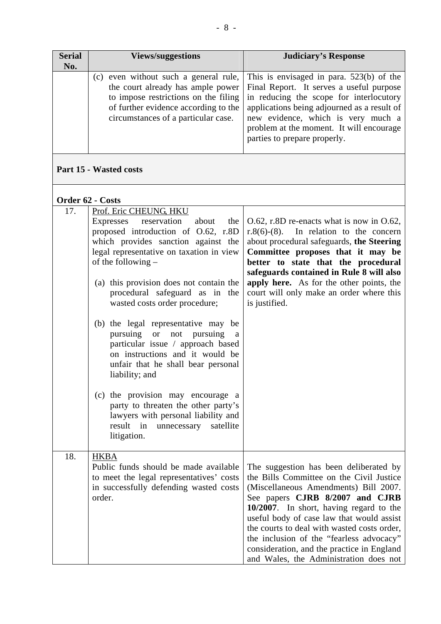| <b>Serial</b><br>No. | <b>Views/suggestions</b>                                                                                            | <b>Judiciary's Response</b>                                                                                                                                                                                                                                                                                                                                                  |
|----------------------|---------------------------------------------------------------------------------------------------------------------|------------------------------------------------------------------------------------------------------------------------------------------------------------------------------------------------------------------------------------------------------------------------------------------------------------------------------------------------------------------------------|
|                      | to impose restrictions on the filing<br>of further evidence according to the<br>circumstances of a particular case. | (c) even without such a general rule, This is envisaged in para. $523(b)$ of the<br>the court already has ample power   Final Report. It serves a useful purpose<br>in reducing the scope for interlocutory<br>applications being adjourned as a result of<br>new evidence, which is very much a<br>problem at the moment. It will encourage<br>parties to prepare properly. |

## **Part 15 - Wasted costs**

### **Order 62 - Costs**

| 17. | Prof. Eric CHEUNG, HKU<br>Expresses reservation<br>about<br>the<br>proposed introduction of O.62, r.8D<br>which provides sanction against the<br>legal representative on taxation in view<br>of the following -<br>(a) this provision does not contain the<br>procedural safeguard as in the<br>wasted costs order procedure;                                                         | $0.62$ , r.8D re-enacts what is now in 0.62,<br>$r.8(6)-(8)$ . In relation to the concern<br>about procedural safeguards, the Steering<br>Committee proposes that it may be<br>better to state that the procedural<br>safeguards contained in Rule 8 will also<br>apply here. As for the other points, the<br>court will only make an order where this<br>is justified.                                                                   |
|-----|---------------------------------------------------------------------------------------------------------------------------------------------------------------------------------------------------------------------------------------------------------------------------------------------------------------------------------------------------------------------------------------|-------------------------------------------------------------------------------------------------------------------------------------------------------------------------------------------------------------------------------------------------------------------------------------------------------------------------------------------------------------------------------------------------------------------------------------------|
|     | (b) the legal representative may be<br>pursuing or<br>not pursuing<br>a<br>particular issue / approach based<br>on instructions and it would be<br>unfair that he shall bear personal<br>liability; and<br>(c) the provision may encourage a<br>party to threaten the other party's<br>lawyers with personal liability and<br>result<br>satellite<br>in<br>unnecessary<br>litigation. |                                                                                                                                                                                                                                                                                                                                                                                                                                           |
| 18. | <b>HKBA</b><br>Public funds should be made available<br>to meet the legal representatives' costs<br>in successfully defending wasted costs<br>order.                                                                                                                                                                                                                                  | The suggestion has been deliberated by<br>the Bills Committee on the Civil Justice<br>(Miscellaneous Amendments) Bill 2007.<br>See papers CJRB 8/2007 and CJRB<br>10/2007. In short, having regard to the<br>useful body of case law that would assist<br>the courts to deal with wasted costs order,<br>the inclusion of the "fearless advocacy"<br>consideration, and the practice in England<br>and Wales, the Administration does not |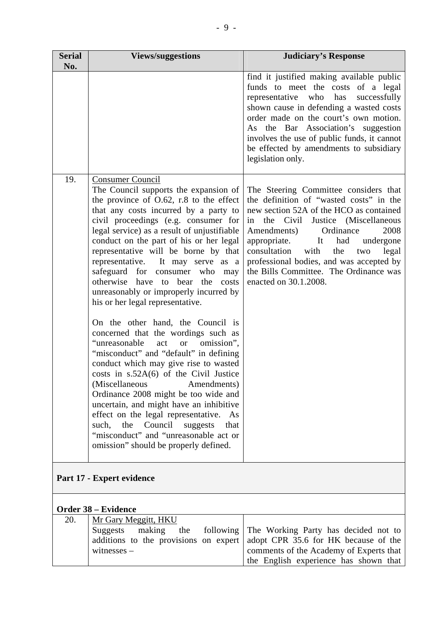| <b>Serial</b><br>No.      | <b>Views/suggestions</b>                                                                                                                                                                                                                                                                                                                                                                                                                                                                                                                                                                                                                                                                                                                                                                                                                                                                                                                                                                                                                                                                               | <b>Judiciary's Response</b>                                                                                                                                                                                                                                                                                                                                                                                          |  |
|---------------------------|--------------------------------------------------------------------------------------------------------------------------------------------------------------------------------------------------------------------------------------------------------------------------------------------------------------------------------------------------------------------------------------------------------------------------------------------------------------------------------------------------------------------------------------------------------------------------------------------------------------------------------------------------------------------------------------------------------------------------------------------------------------------------------------------------------------------------------------------------------------------------------------------------------------------------------------------------------------------------------------------------------------------------------------------------------------------------------------------------------|----------------------------------------------------------------------------------------------------------------------------------------------------------------------------------------------------------------------------------------------------------------------------------------------------------------------------------------------------------------------------------------------------------------------|--|
|                           |                                                                                                                                                                                                                                                                                                                                                                                                                                                                                                                                                                                                                                                                                                                                                                                                                                                                                                                                                                                                                                                                                                        | find it justified making available public<br>funds to meet the costs of a legal<br>has<br>representative who<br>successfully<br>shown cause in defending a wasted costs<br>order made on the court's own motion.<br>As the Bar Association's suggestion<br>involves the use of public funds, it cannot<br>be effected by amendments to subsidiary<br>legislation only.                                               |  |
| 19.                       | <b>Consumer Council</b><br>The Council supports the expansion of<br>the province of $O.62$ , r.8 to the effect<br>that any costs incurred by a party to<br>civil proceedings (e.g. consumer for<br>legal service) as a result of unjustifiable<br>conduct on the part of his or her legal<br>representative will be borne by that<br>representative. It may serve as a<br>safeguard for consumer<br>who<br>may<br>otherwise have to<br>bear<br>the<br>costs<br>unreasonably or improperly incurred by<br>his or her legal representative.<br>On the other hand, the Council is<br>concerned that the wordings such as<br>"unreasonable<br>omission",<br>act<br><b>or</b><br>"misconduct" and "default" in defining<br>conduct which may give rise to wasted<br>costs in $s.52A(6)$ of the Civil Justice<br>(Miscellaneous<br>Amendments)<br>Ordinance 2008 might be too wide and<br>uncertain, and might have an inhibitive<br>effect on the legal representative.<br>As<br>the Council<br>suggests<br>such,<br>that<br>"misconduct" and "unreasonable act or<br>omission" should be properly defined. | The Steering Committee considers that<br>the definition of "wasted costs" in the<br>new section 52A of the HCO as contained<br>the Civil<br>Justice (Miscellaneous<br>in<br>Amendments)<br>Ordinance<br>2008<br>appropriate.<br>It<br>had<br>undergone<br>consultation<br>with<br>legal<br>the<br>two<br>professional bodies, and was accepted by<br>the Bills Committee. The Ordinance was<br>enacted on 30.1.2008. |  |
| Part 17 - Expert evidence |                                                                                                                                                                                                                                                                                                                                                                                                                                                                                                                                                                                                                                                                                                                                                                                                                                                                                                                                                                                                                                                                                                        |                                                                                                                                                                                                                                                                                                                                                                                                                      |  |
| Order 38 – Evidence       |                                                                                                                                                                                                                                                                                                                                                                                                                                                                                                                                                                                                                                                                                                                                                                                                                                                                                                                                                                                                                                                                                                        |                                                                                                                                                                                                                                                                                                                                                                                                                      |  |
| 20.                       | Mr Gary Meggitt, HKU<br>making<br>Suggests<br>the<br>following<br>additions to the provisions on expert<br>witnesses $-$                                                                                                                                                                                                                                                                                                                                                                                                                                                                                                                                                                                                                                                                                                                                                                                                                                                                                                                                                                               | The Working Party has decided not to<br>adopt CPR 35.6 for HK because of the<br>comments of the Academy of Experts that<br>the English experience has shown that                                                                                                                                                                                                                                                     |  |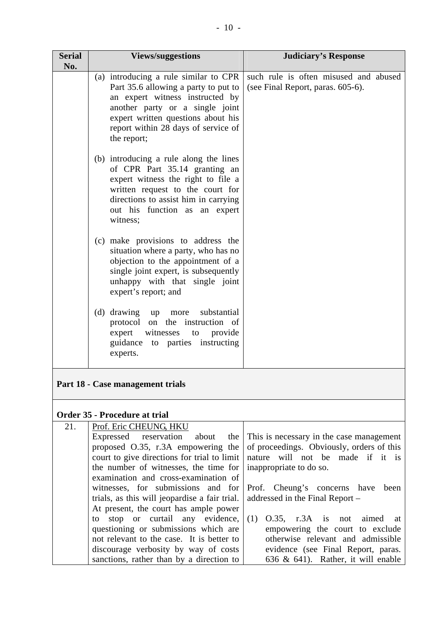| No.<br>such rule is often misused and abused<br>(a) introducing a rule similar to CPR<br>Part 35.6 allowing a party to put to<br>(see Final Report, paras. 605-6).<br>an expert witness instructed by<br>another party or a single joint<br>expert written questions about his<br>report within 28 days of service of<br>the report;<br>(b) introducing a rule along the lines<br>of CPR Part 35.14 granting an<br>expert witness the right to file a<br>written request to the court for<br>directions to assist him in carrying<br>out his function as an expert<br>witness;<br>(c) make provisions to address the<br>situation where a party, who has no<br>objection to the appointment of a<br>single joint expert, is subsequently<br>unhappy with that single joint<br>expert's report; and<br>(d) drawing up<br>substantial<br>more<br>protocol on the instruction of<br>expert<br>witnesses<br>provide<br>to<br>guidance to parties instructing |      |  |
|----------------------------------------------------------------------------------------------------------------------------------------------------------------------------------------------------------------------------------------------------------------------------------------------------------------------------------------------------------------------------------------------------------------------------------------------------------------------------------------------------------------------------------------------------------------------------------------------------------------------------------------------------------------------------------------------------------------------------------------------------------------------------------------------------------------------------------------------------------------------------------------------------------------------------------------------------------|------|--|
|                                                                                                                                                                                                                                                                                                                                                                                                                                                                                                                                                                                                                                                                                                                                                                                                                                                                                                                                                          |      |  |
|                                                                                                                                                                                                                                                                                                                                                                                                                                                                                                                                                                                                                                                                                                                                                                                                                                                                                                                                                          |      |  |
|                                                                                                                                                                                                                                                                                                                                                                                                                                                                                                                                                                                                                                                                                                                                                                                                                                                                                                                                                          |      |  |
|                                                                                                                                                                                                                                                                                                                                                                                                                                                                                                                                                                                                                                                                                                                                                                                                                                                                                                                                                          |      |  |
| experts.                                                                                                                                                                                                                                                                                                                                                                                                                                                                                                                                                                                                                                                                                                                                                                                                                                                                                                                                                 |      |  |
| Part 18 - Case management trials                                                                                                                                                                                                                                                                                                                                                                                                                                                                                                                                                                                                                                                                                                                                                                                                                                                                                                                         |      |  |
| <b>Order 35 - Procedure at trial</b>                                                                                                                                                                                                                                                                                                                                                                                                                                                                                                                                                                                                                                                                                                                                                                                                                                                                                                                     |      |  |
| Prof. Eric CHEUNG, HKU<br>21.<br>Expressed reservation<br>about<br>the<br>This is necessary in the case management<br>of proceedings. Obviously, orders of this<br>proposed O.35, r.3A empowering the<br>court to give directions for trial to limit<br>nature will not be made if it is<br>the number of witnesses, the time for<br>inappropriate to do so.<br>examination and cross-examination of<br>witnesses, for submissions<br>Cheung's concerns<br>and for<br>Prof.<br>have<br>trials, as this will jeopardise a fair trial.<br>addressed in the Final Report -<br>At present, the court has ample power                                                                                                                                                                                                                                                                                                                                         | been |  |

to stop or curtail any evidence, questioning or submissions which are not relevant to the case. It is better to discourage verbosity by way of costs sanctions, rather than by a direction to (1) O.35, r.3A is not aimed at empowering the court to exclude otherwise relevant and admissible evidence (see Final Report, paras. 636 & 641). Rather, it will enable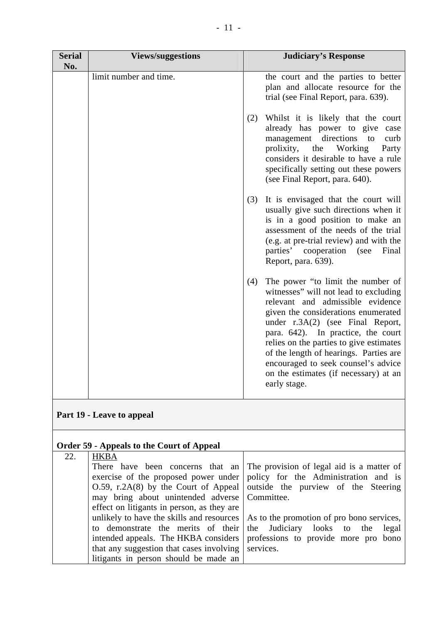| <b>Serial</b><br>No. | <b>Views/suggestions</b> | <b>Judiciary's Response</b>                                                                                                                                                                                                                                                                                                                                                                                                 |
|----------------------|--------------------------|-----------------------------------------------------------------------------------------------------------------------------------------------------------------------------------------------------------------------------------------------------------------------------------------------------------------------------------------------------------------------------------------------------------------------------|
|                      | limit number and time.   | the court and the parties to better<br>plan and allocate resource for the<br>trial (see Final Report, para. 639).                                                                                                                                                                                                                                                                                                           |
|                      |                          | Whilst it is likely that the court<br>(2)<br>already has power to give case<br>directions<br>management<br>to<br>curb<br>prolixity,<br>Working<br>the<br>Party<br>considers it desirable to have a rule<br>specifically setting out these powers<br>(see Final Report, para. 640).                                                                                                                                          |
|                      |                          | It is envisaged that the court will<br>(3)<br>usually give such directions when it<br>is in a good position to make an<br>assessment of the needs of the trial<br>(e.g. at pre-trial review) and with the<br>parties' cooperation (see<br>Final<br>Report, para. 639).                                                                                                                                                      |
|                      |                          | The power "to limit the number of<br>(4)<br>witnesses" will not lead to excluding<br>relevant and admissible evidence<br>given the considerations enumerated<br>under r.3A(2) (see Final Report,<br>para. 642). In practice, the court<br>relies on the parties to give estimates<br>of the length of hearings. Parties are<br>encouraged to seek counsel's advice<br>on the estimates (if necessary) at an<br>early stage. |

# **Part 19 - Leave to appeal**

|     | <b>Order 59 - Appeals to the Court of Appeal</b>   |                                                                                             |
|-----|----------------------------------------------------|---------------------------------------------------------------------------------------------|
| 22. | <b>HKBA</b>                                        |                                                                                             |
|     |                                                    | There have been concerns that an The provision of legal aid is a matter of                  |
|     |                                                    | exercise of the proposed power under policy for the Administration and is                   |
|     |                                                    | $0.59$ , r.2A(8) by the Court of Appeal   outside the purview of the Steering               |
|     | may bring about unintended adverse Committee.      |                                                                                             |
|     | effect on litigants in person, as they are         |                                                                                             |
|     |                                                    | unlikely to have the skills and resources $\vert$ As to the promotion of pro bono services, |
|     |                                                    | to demonstrate the merits of their the Judiciary looks to the legal                         |
|     |                                                    | intended appeals. The HKBA considers   professions to provide more pro bono                 |
|     | that any suggestion that cases involving services. |                                                                                             |
|     | litigants in person should be made an              |                                                                                             |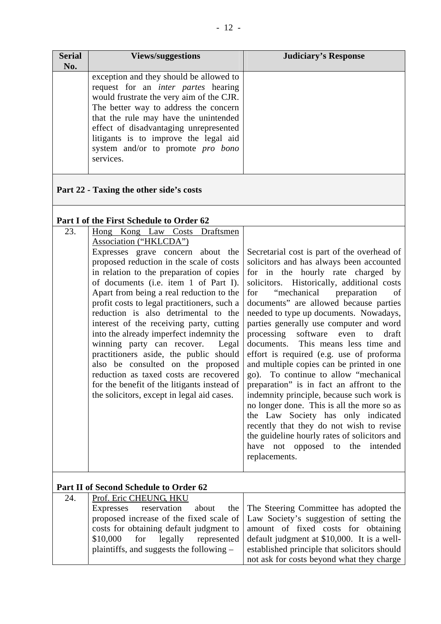| <b>Serial</b><br>No. | <b>Views/suggestions</b>                                                                                                                                                                                                                                                                                                                                        | <b>Judiciary's Response</b> |
|----------------------|-----------------------------------------------------------------------------------------------------------------------------------------------------------------------------------------------------------------------------------------------------------------------------------------------------------------------------------------------------------------|-----------------------------|
|                      | exception and they should be allowed to<br>request for an <i>inter partes</i> hearing<br>would frustrate the very aim of the CJR.<br>The better way to address the concern<br>that the rule may have the unintended<br>effect of disadvantaging unrepresented<br>litigants is to improve the legal aid<br>system and/or to promote <i>pro bono</i><br>services. |                             |

### **Part 22 - Taxing the other side's costs**

#### **Part I of the First Schedule to Order 62**

| 23. | Hong Kong Law Costs Draftsmen               |                                                                                |
|-----|---------------------------------------------|--------------------------------------------------------------------------------|
|     | Association ("HKLCDA")                      |                                                                                |
|     | Expresses grave concern about the           | Secretarial cost is part of the overhead of                                    |
|     | proposed reduction in the scale of costs    | solicitors and has always been accounted                                       |
|     | in relation to the preparation of copies    | for in the hourly rate charged by                                              |
|     | of documents (i.e. item 1 of Part I).       | solicitors. Historically, additional costs                                     |
|     | Apart from being a real reduction to the    | "mechanical preparation"<br>for<br>of                                          |
|     | profit costs to legal practitioners, such a | documents" are allowed because parties                                         |
|     | reduction is also detrimental to the        | needed to type up documents. Nowadays,                                         |
|     | interest of the receiving party, cutting    | parties generally use computer and word                                        |
|     | into the already imperfect indemnity the    | software even<br>processing<br>to<br>draft                                     |
|     | winning party can recover.<br>Legal         | documents. This means less time and                                            |
|     | practitioners aside, the public should      | effort is required (e.g. use of proforma                                       |
|     | also be consulted on the proposed           | and multiple copies can be printed in one                                      |
|     | reduction as taxed costs are recovered      | go). To continue to allow "mechanical"                                         |
|     | for the benefit of the litigants instead of | preparation" is in fact an affront to the                                      |
|     | the solicitors, except in legal aid cases.  | indemnity principle, because such work is                                      |
|     |                                             | no longer done. This is all the more so as                                     |
|     |                                             | the Law Society has only indicated<br>recently that they do not wish to revise |
|     |                                             | the guideline hourly rates of solicitors and                                   |
|     |                                             | have not opposed to the intended                                               |
|     |                                             | replacements.                                                                  |
|     |                                             |                                                                                |
|     |                                             |                                                                                |
|     | Part II of Second Schedule to Order 62      |                                                                                |
| 24. | Prof. Eric CHEUNG HKU                       |                                                                                |

| 24. | Prof. Eric CHEUNG, HKU |                                                                                         |
|-----|------------------------|-----------------------------------------------------------------------------------------|
|     |                        | Expresses reservation about the The Steering Committee has adopted the                  |
|     |                        | proposed increase of the fixed scale of   Law Society's suggestion of setting the       |
|     |                        | costs for obtaining default judgment to amount of fixed costs for obtaining             |
|     |                        | \$10,000 for legally represented default judgment at \$10,000. It is a well-            |
|     |                        | plaintiffs, and suggests the following $-$ established principle that solicitors should |

of setting the for obtaining 0. It is a wellestablished principle that solicitors should not ask for costs beyond what they charge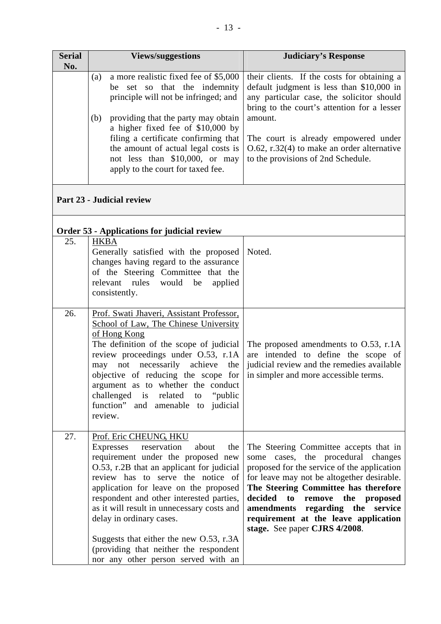| <b>Serial</b><br>No. |     | <b>Views/suggestions</b>                                                                                                                                                                                                         | <b>Judiciary's Response</b>                                                                                                                                                          |
|----------------------|-----|----------------------------------------------------------------------------------------------------------------------------------------------------------------------------------------------------------------------------------|--------------------------------------------------------------------------------------------------------------------------------------------------------------------------------------|
|                      | (a) | a more realistic fixed fee of \$5,000<br>be set so that the indemnity<br>principle will not be infringed; and                                                                                                                    | their clients. If the costs for obtaining a<br>default judgment is less than \$10,000 in<br>any particular case, the solicitor should<br>bring to the court's attention for a lesser |
|                      | (b) | providing that the party may obtain<br>a higher fixed fee of \$10,000 by<br>filing a certificate confirming that<br>the amount of actual legal costs is<br>not less than $$10,000$ , or may<br>apply to the court for taxed fee. | amount.<br>The court is already empowered under<br>$\vert$ O.62, r.32(4) to make an order alternative<br>to the provisions of 2nd Schedule.                                          |

## **Part 23 - Judicial review**

## **Order 53 - Applications for judicial review**

| 25. | <b>HKBA</b><br>Generally satisfied with the proposed<br>changes having regard to the assurance<br>of the Steering Committee that the<br>relevant rules<br>would<br>be<br>applied<br>consistently.                                                                                                                                                                                                                                                                                     | Noted.                                                                                                                                                                                                                                                                                                                                                           |
|-----|---------------------------------------------------------------------------------------------------------------------------------------------------------------------------------------------------------------------------------------------------------------------------------------------------------------------------------------------------------------------------------------------------------------------------------------------------------------------------------------|------------------------------------------------------------------------------------------------------------------------------------------------------------------------------------------------------------------------------------------------------------------------------------------------------------------------------------------------------------------|
| 26. | Prof. Swati Jhaveri, Assistant Professor,<br>School of Law, The Chinese University<br>of Hong Kong<br>The definition of the scope of judicial<br>review proceedings under O.53, r.1A<br>may not necessarily achieve<br>the<br>objective of reducing the scope for<br>argument as to whether the conduct<br>challenged is related<br>"public"<br>to<br>function" and<br>amenable to judicial<br>review.                                                                                | The proposed amendments to $0.53$ , r.1A<br>are intended to define the scope of<br>judicial review and the remedies available<br>in simpler and more accessible terms.                                                                                                                                                                                           |
| 27. | Prof. Eric CHEUNG, HKU<br>Expresses<br>reservation<br>about<br>the<br>requirement under the proposed new<br>O.53, r.2B that an applicant for judicial<br>review has to serve the notice of<br>application for leave on the proposed<br>respondent and other interested parties,<br>as it will result in unnecessary costs and<br>delay in ordinary cases.<br>Suggests that either the new O.53, r.3A<br>(providing that neither the respondent<br>nor any other person served with an | The Steering Committee accepts that in<br>some cases, the procedural changes<br>proposed for the service of the application<br>for leave may not be altogether desirable.<br>The Steering Committee has therefore<br>decided to remove the proposed<br>amendments regarding the service<br>requirement at the leave application<br>stage. See paper CJRS 4/2008. |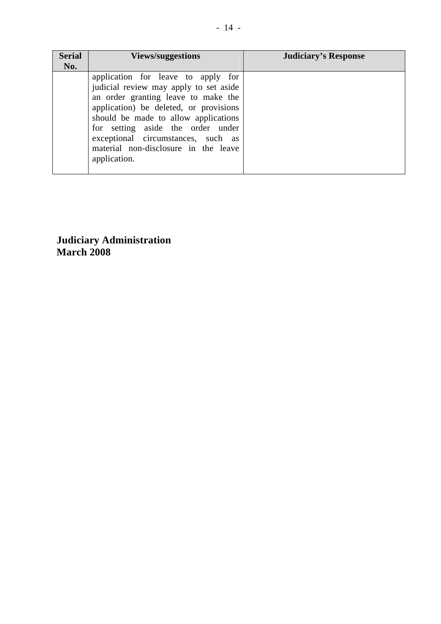| <b>Serial</b><br>No. | <b>Views/suggestions</b>                                                                                                                                                                                                                                                                                                                 | <b>Judiciary's Response</b> |
|----------------------|------------------------------------------------------------------------------------------------------------------------------------------------------------------------------------------------------------------------------------------------------------------------------------------------------------------------------------------|-----------------------------|
|                      | application for leave to apply for<br>judicial review may apply to set aside<br>an order granting leave to make the<br>application) be deleted, or provisions<br>should be made to allow applications<br>for setting aside the order under<br>exceptional circumstances, such as<br>material non-disclosure in the leave<br>application. |                             |

**Judiciary Administration March 2008**